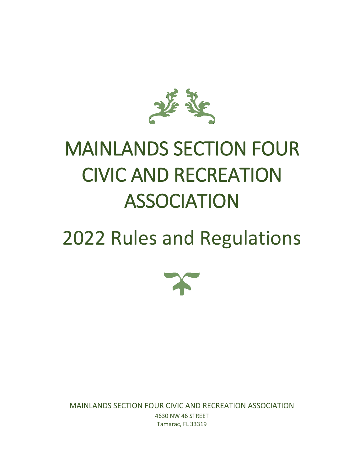

# MAINLANDS SECTION FOUR CIVIC AND RECREATION ASSOCIATION

# 2022 Rules and Regulations



MAINLANDS SECTION FOUR CIVIC AND RECREATION ASSOCIATION 4630 NW 46 STREET Tamarac, FL 33319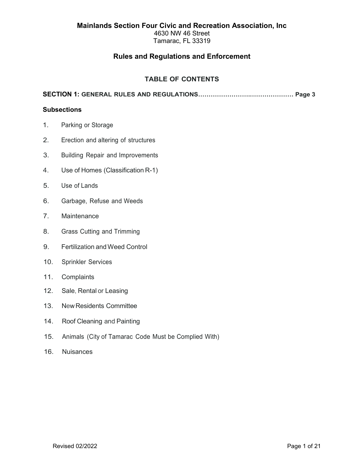4630 NW 46 Street Tamarac, FL 33319

# **Rules and Regulations and Enforcement**

# **TABLE OF CONTENTS**

**SECTION 1: GENERAL RULES AND REGULATIONS…………………….………………… Page 3**

## **Subsections**

- 1. Parking or Storage
- 2. Erection and altering of structures
- 3. Building Repair and Improvements
- 4. Use of Homes (Classification R-1)
- 5. Use of Lands
- 6. Garbage, Refuse and Weeds
- 7. Maintenance
- 8. Grass Cutting and Trimming
- 9. Fertilization andWeed Control
- 10. Sprinkler Services
- 11. Complaints
- 12. Sale, Rental or Leasing
- 13. New Residents Committee
- 14. Roof Cleaning and Painting
- 15. Animals (City of Tamarac Code Must be Complied With)
- 16. Nuisances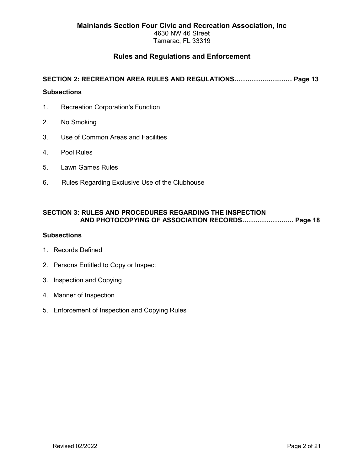Tamarac, FL 33319

# **Rules and Regulations and Enforcement**

# **SECTION 2: RECREATION AREA RULES AND REGULATIONS……………..….…… Page 13**

# **Subsections**

- 1. Recreation Corporation's Function
- 2. No Smoking
- 3. Use of Common Areas and Facilities
- 4. Pool Rules
- 5. Lawn Games Rules
- 6. Rules Regarding Exclusive Use of the Clubhouse

## **SECTION 3: RULES AND PROCEDURES REGARDING THE INSPECTION AND PHOTOCOPYING OF ASSOCIATION RECORDS………………..…. Page 18**

## **Subsections**

- 1. Records Defined
- 2. Persons Entitled to Copy or Inspect
- 3. Inspection and Copying
- 4. Manner of Inspection
- 5. Enforcement of Inspection and Copying Rules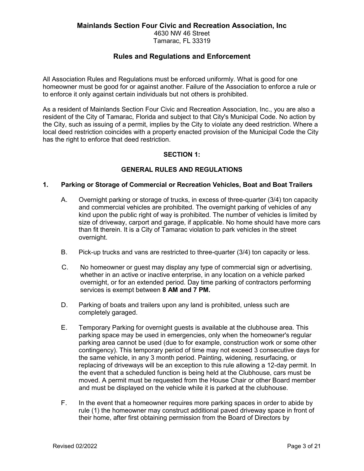4630 NW 46 Street

Tamarac, FL 33319

# **Rules and Regulations and Enforcement**

All Association Rules and Regulations must be enforced uniformly. What is good for one homeowner must be good for or against another. Failure of the Association to enforce a rule or to enforce it only against certain individuals but not others is prohibited.

As a resident of Mainlands Section Four Civic and Recreation Association, Inc., you are also a resident of the City of Tamarac, Florida and subject to that City's Municipal Code. No action by the City, such as issuing of a permit, implies by the City to violate any deed restriction. Where a local deed restriction coincides with a property enacted provision of the Municipal Code the City has the right to enforce that deed restriction.

# **SECTION 1:**

# **GENERAL RULES AND REGULATIONS**

# **1. Parking or Storage of Commercial or Recreation Vehicles, Boat and Boat Trailers**

- A. Overnight parking or storage of trucks, in excess of three-quarter (3/4) ton capacity and commercial vehicles are prohibited. The overnight parking of vehicles of any kind upon the public right of way is prohibited. The number of vehicles is limited by size of driveway, carport and garage, if applicable. No home should have more cars than fit therein. It is a City of Tamarac violation to park vehicles in the street overnight.
- B. Pick-up trucks and vans are restricted to three-quarter (3/4) ton capacity or less.
- C. No homeowner or guest may display any type of commercial sign or advertising, whether in an active or inactive enterprise, in any location on a vehicle parked overnight, or for an extended period. Day time parking of contractors performing services is exempt between **8 AM and 7 PM.**
- D. Parking of boats and trailers upon any land is prohibited, unless such are completely garaged.
- E. Temporary Parking for overnight guests is available at the clubhouse area. This parking space may be used in emergencies, only when the homeowner's regular parking area cannot be used (due to for example, construction work or some other contingency). This temporary period of time may not exceed 3 consecutive days for the same vehicle, in any 3 month period. Painting, widening, resurfacing, or replacing of driveways will be an exception to this rule allowing a 12-day permit. In the event that a scheduled function is being held at the Clubhouse, cars must be moved. A permit must be requested from the House Chair or other Board member and must be displayed on the vehicle while it is parked at the clubhouse.
- F. In the event that a homeowner requires more parking spaces in order to abide by rule (1) the homeowner may construct additional paved driveway space in front of their home, after first obtaining permission from the Board of Directors by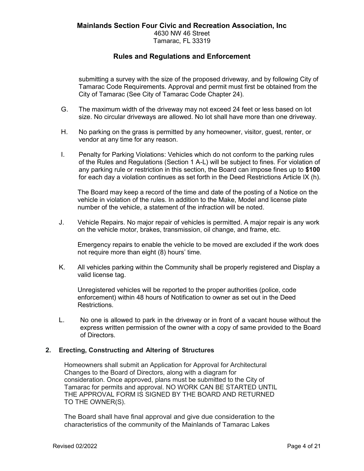submitting a survey with the size of the proposed driveway, and by following City of Tamarac Code Requirements. Approval and permit must first be obtained from the City of Tamarac (See City of Tamarac Code Chapter 24).

- G. The maximum width of the driveway may not exceed 24 feet or less based on lot size. No circular driveways are allowed. No lot shall have more than one driveway.
- H. No parking on the grass is permitted by any homeowner, visitor, guest, renter, or vendor at any time for any reason.
- I. Penalty for Parking Violations: Vehicles which do not conform to the parking rules of the Rules and Regulations (Section 1 A-L) will be subject to fines. For violation of any parking rule or restriction in this section, the Board can impose fines up to **\$100** for each day a violation continues as set forth in the Deed Restrictions Article IX (h).

The Board may keep a record of the time and date of the posting of a Notice on the vehicle in violation of the rules. In addition to the Make, Model and license plate number of the vehicle, a statement of the infraction will be noted.

J. Vehicle Repairs. No major repair of vehicles is permitted. A major repair is any work on the vehicle motor, brakes, transmission, oil change, and frame, etc.

Emergency repairs to enable the vehicle to be moved are excluded if the work does not require more than eight (8) hours' time.

K. All vehicles parking within the Community shall be properly registered and Display a valid license tag.

Unregistered vehicles will be reported to the proper authorities (police, code enforcement) within 48 hours of Notification to owner as set out in the Deed Restrictions.

L. No one is allowed to park in the driveway or in front of a vacant house without the express written permission of the owner with a copy of same provided to the Board of Directors.

## **2. Erecting, Constructing and Altering of Structures**

Homeowners shall submit an Application for Approval for Architectural Changes to the Board of Directors, along with a diagram for consideration. Once approved, plans must be submitted to the City of Tamarac for permits and approval. NO WORK CAN BE STARTED UNTIL THE APPROVAL FORM IS SIGNED BY THE BOARD AND RETURNED TO THE OWNER(S).

The Board shall have final approval and give due consideration to the characteristics of the community of the Mainlands of Tamarac Lakes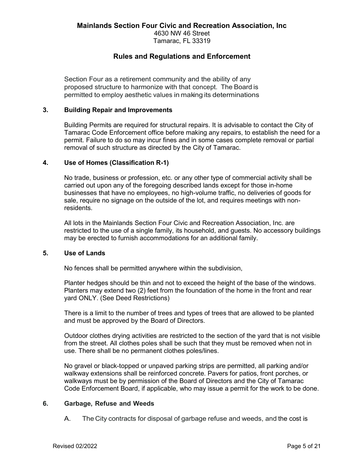Section Four as a retirement community and the ability of any proposed structure to harmonize with that concept. The Board is permitted to employ aesthetic values in making its determinations.

## **3. Building Repair and Improvements**

Building Permits are required for structural repairs. It is advisable to contact the City of Tamarac Code Enforcement office before making any repairs, to establish the need for a permit. Failure to do so may incur fines and in some cases complete removal or partial removal of such structure as directed by the City of Tamarac.

#### **4. Use of Homes (Classification R-1)**

No trade, business or profession, etc. or any other type of commercial activity shall be carried out upon any of the foregoing described lands except for those in-home businesses that have no employees, no high-volume traffic, no deliveries of goods for sale, require no signage on the outside of the lot, and requires meetings with nonresidents.

All lots in the Mainlands Section Four Civic and Recreation Association, Inc. are restricted to the use of a single family, its household, and guests. No accessory buildings may be erected to furnish accommodations for an additional family.

#### **5. Use of Lands**

No fences shall be permitted anywhere within the subdivision,

Planter hedges should be thin and not to exceed the height of the base of the windows. Planters may extend two (2) feet from the foundation of the home in the front and rear yard ONLY. (See Deed Restrictions)

There is a limit to the number of trees and types of trees that are allowed to be planted and must be approved by the Board of Directors.

Outdoor clothes drying activities are restricted to the section of the yard that is not visible from the street. All clothes poles shall be such that they must be removed when not in use. There shall be no permanent clothes poles/lines.

No gravel or black-topped or unpaved parking strips are permitted, all parking and/or walkway extensions shall be reinforced concrete. Pavers for patios, front porches, or walkways must be by permission of the Board of Directors and the City of Tamarac Code Enforcement Board, if applicable, who may issue a permit for the work to be done.

#### **6. Garbage, Refuse and Weeds**

A. The City contracts for disposal of garbage refuse and weeds, and the cost is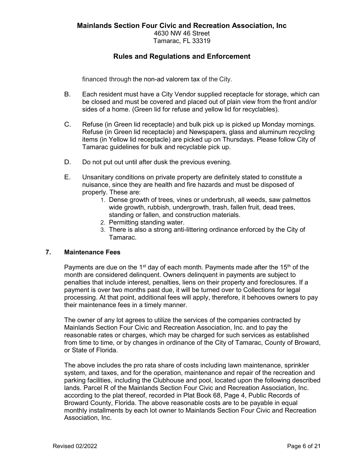financed through the non-ad valorem tax of the City.

- B. Each resident must have a City Vendor supplied receptacle for storage, which can be closed and must be covered and placed out of plain view from the front and/or sides of a home. (Green lid for refuse and yellow lid for recyclables).
- C. Refuse (in Green lid receptacle) and bulk pick up is picked up Monday mornings. Refuse (in Green lid receptacle) and Newspapers, glass and aluminum recycling items (in Yellow lid receptacle) are picked up on Thursdays. Please follow City of Tamarac guidelines for bulk and recyclable pick up.
- D. Do not put out until after dusk the previous evening.
- E. Unsanitary conditions on private property are definitely stated to constitute a nuisance, since they are health and fire hazards and must be disposed of properly. These are:
	- 1. Dense growth of trees, vines or underbrush, all weeds, saw palmettos wide growth, rubbish, undergrowth, trash, fallen fruit, dead trees, standing or fallen, and construction materials.
	- 2. Permitting standing water.
	- 3. There is also a strong anti-littering ordinance enforced by the City of Tamarac.

## **7. Maintenance Fees**

Payments are due on the 1<sup>st</sup> day of each month. Payments made after the 15<sup>th</sup> of the month are considered delinquent. Owners delinquent in payments are subject to penalties that include interest, penalties, liens on their property and foreclosures. If a payment is over two months past due, it will be turned over to Collections for legal processing. At that point, additional fees will apply, therefore, it behooves owners to pay their maintenance fees in a timely manner.

The owner of any lot agrees to utilize the services of the companies contracted by Mainlands Section Four Civic and Recreation Association, Inc. and to pay the reasonable rates or charges, which may be charged for such services as established from time to time, or by changes in ordinance of the City of Tamarac, County of Broward, or State of Florida.

The above includes the pro rata share of costs including lawn maintenance, sprinkler system, and taxes, and for the operation, maintenance and repair of the recreation and parking facilities, including the Clubhouse and pool, located upon the following described lands. Parcel R of the Mainlands Section Four Civic and Recreation Association, Inc. according to the plat thereof, recorded in Plat Book 68, Page 4, Public Records of Broward County, Florida. The above reasonable costs are to be payable in equal monthly installments by each lot owner to Mainlands Section Four Civic and Recreation Association, Inc.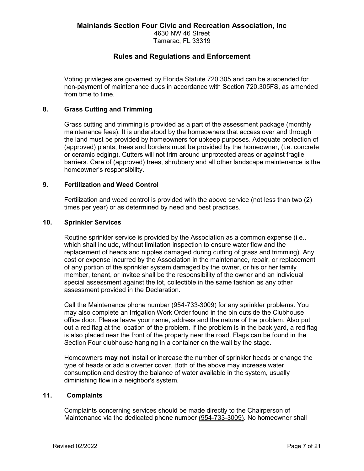Tamarac, FL 33319

# **Rules and Regulations and Enforcement**

Voting privileges are governed by Florida Statute 720.305 and can be suspended for non-payment of maintenance dues in accordance with Section 720.305FS, as amended from time to time.

## **8. Grass Cutting and Trimming**

Grass cutting and trimming is provided as a part of the assessment package (monthly maintenance fees). It is understood by the homeowners that access over and through the land must be provided by homeowners for upkeep purposes. Adequate protection of (approved) plants, trees and borders must be provided by the homeowner, (i.e. concrete or ceramic edging). Cutters will not trim around unprotected areas or against fragile barriers. Care of (approved) trees, shrubbery and all other landscape maintenance is the homeowner's responsibility.

## **9. Fertilization and Weed Control**

Fertilization and weed control is provided with the above service (not less than two (2) times per year) or as determined by need and best practices.

## **10. Sprinkler Services**

Routine sprinkler service is provided by the Association as a common expense (i.e., which shall include, without limitation inspection to ensure water flow and the replacement of heads and nipples damaged during cutting of grass and trimming). Any cost or expense incurred by the Association in the maintenance, repair, or replacement of any portion of the sprinkler system damaged by the owner, or his or her family member, tenant, or invitee shall be the responsibility of the owner and an individual special assessment against the lot, collectible in the same fashion as any other assessment provided in the Declaration.

Call the Maintenance phone number (954-733-3009) for any sprinkler problems. You may also complete an Irrigation Work Order found in the bin outside the Clubhouse office door. Please leave your name, address and the nature of the problem. Also put out a red flag at the location of the problem. If the problem is in the back yard, a red flag is also placed near the front of the property near the road. Flags can be found in the Section Four clubhouse hanging in a container on the wall by the stage.

Homeowners **may not** install or increase the number of sprinkler heads or change the type of heads or add a diverter cover. Both of the above may increase water consumption and destroy the balance of water available in the system, usually diminishing flow in a neighbor's system.

## **11. Complaints**

Complaints concerning services should be made directly to the Chairperson of Maintenance via the dedicated phone number (954-733-3009). No homeowner shall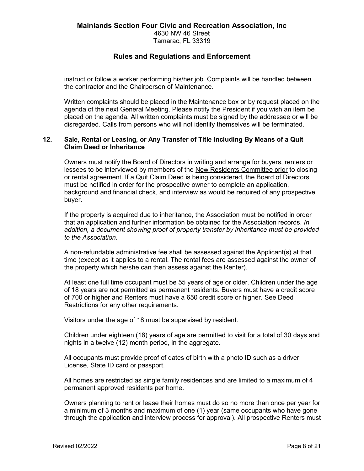instruct or follow a worker performing his/her job. Complaints will be handled between the contractor and the Chairperson of Maintenance.

Written complaints should be placed in the Maintenance box or by request placed on the agenda of the next General Meeting. Please notify the President if you wish an item be placed on the agenda. All written complaints must be signed by the addressee or will be disregarded. Calls from persons who will not identify themselves will be terminated.

## **12. Sale, Rental or Leasing, or Any Transfer of Title Including By Means of a Quit Claim Deed or Inheritance**

Owners must notify the Board of Directors in writing and arrange for buyers, renters or lessees to be interviewed by members of the New Residents Committee prior to closing or rental agreement. If a Quit Claim Deed is being considered, the Board of Directors must be notified in order for the prospective owner to complete an application, background and financial check, and interview as would be required of any prospective buyer.

If the property is acquired due to inheritance, the Association must be notified in order that an application and further information be obtained for the Association records. *In addition, a document showing proof of property transfer by inheritance must be provided to the Association.*

A non-refundable administrative fee shall be assessed against the Applicant(s) at that time (except as it applies to a rental. The rental fees are assessed against the owner of the property which he/she can then assess against the Renter).

At least one full time occupant must be 55 years of age or older. Children under the age of 18 years are not permitted as permanent residents. Buyers must have a credit score of 700 or higher and Renters must have a 650 credit score or higher. See Deed Restrictions for any other requirements.

Visitors under the age of 18 must be supervised by resident.

Children under eighteen (18) years of age are permitted to visit for a total of 30 days and nights in a twelve (12) month period, in the aggregate.

All occupants must provide proof of dates of birth with a photo ID such as a driver License, State ID card or passport.

All homes are restricted as single family residences and are limited to a maximum of 4 permanent approved residents per home.

Owners planning to rent or lease their homes must do so no more than once per year for a minimum of 3 months and maximum of one (1) year (same occupants who have gone through the application and interview process for approval). All prospective Renters must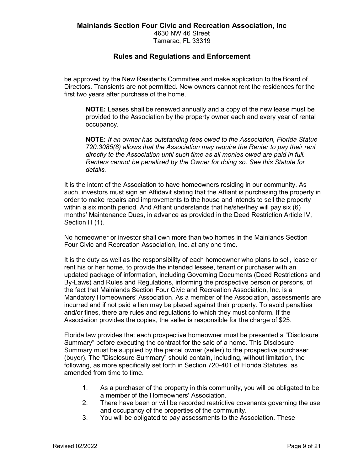Tamarac, FL 33319

# **Rules and Regulations and Enforcement**

be approved by the New Residents Committee and make application to the Board of Directors. Transients are not permitted. New owners cannot rent the residences for the first two years after purchase of the home.

**NOTE:** Leases shall be renewed annually and a copy of the new lease must be provided to the Association by the property owner each and every year of rental occupancy.

**NOTE:** *If an owner has outstanding fees owed to the Association, Florida Statue 720.3085(8) allows that the Association may require the Renter to pay their rent directly to the Association until such time as all monies owed are paid in full. Renters cannot be penalized by the Owner for doing so. See this Statute for details.*

It is the intent of the Association to have homeowners residing in our community. As such, investors must sign an Affidavit stating that the Affiant is purchasing the property in order to make repairs and improvements to the house and intends to sell the property within a six month period. And Affiant understands that he/she/they will pay six (6) months' Maintenance Dues, in advance as provided in the Deed Restriction Article IV, Section H (1).

No homeowner or investor shall own more than two homes in the Mainlands Section Four Civic and Recreation Association, Inc. at any one time.

It is the duty as well as the responsibility of each homeowner who plans to sell, lease or rent his or her home, to provide the intended lessee, tenant or purchaser with an updated package of information, including Governing Documents (Deed Restrictions and By-Laws) and Rules and Regulations, informing the prospective person or persons, of the fact that Mainlands Section Four Civic and Recreation Association, Inc. is a Mandatory Homeowners' Association. As a member of the Association, assessments are incurred and if not paid a lien may be placed against their property. To avoid penalties and/or fines, there are rules and regulations to which they must conform. If the Association provides the copies, the seller is responsible for the charge of \$25.

Florida law provides that each prospective homeowner must be presented a "Disclosure Summary" before executing the contract for the sale of a home. This Disclosure Summary must be supplied by the parcel owner (seller) to the prospective purchaser (buyer). The "Disclosure Summary" should contain, including, without limitation, the following, as more specifically set forth in Section 720-401 of Florida Statutes, as amended from time to time.

- 1. As a purchaser of the property in this community, you will be obligated to be a member of the Homeowners' Association.
- 2. There have been or will be recorded restrictive covenants governing the use and occupancy of the properties of the community.
- 3. You will be obligated to pay assessments to the Association. These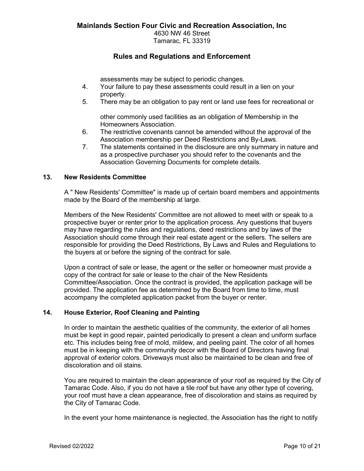assessments may be subject to periodic changes.

- 4. Your failure to pay these assessments could result in a lien on your property.
- 5. There may be an obligation to pay rent or land use fees for recreational or

other commonly used facilities as an obligation of Membership in the Homeowners Association.

- 6. The restrictive covenants cannot be amended without the approval of the Association membership per Deed Restrictions and By-Laws.
- 7. The statements contained in the disclosure are only summary in nature and as a prospective purchaser you should refer to the covenants and the Association Governing Documents for complete details.

## **13. New Residents Committee**

A " New Residents' Committee" is made up of certain board members and appointments made by the Board of the membership at large.

Members of the New Residents' Committee are not allowed to meet with or speak to a prospective buyer or renter prior to the application process. Any questions that buyers may have regarding the rules and regulations, deed restrictions and by laws of the Association should come through their real estate agent or the sellers. The sellers are responsible for providing the Deed Restrictions, By Laws and Rules and Regulations to the buyers at or before the signing of the contract for sale.

Upon a contract of sale or lease, the agent or the seller or homeowner must provide a copy of the contract for sale or lease to the chair of the New Residents Committee/Association. Once the contract is provided, the application package will be provided. The application fee as determined by the Board from time to time, must accompany the completed application packet from the buyer or renter.

# **14. House Exterior, Roof Cleaning and Painting**

In order to maintain the aesthetic qualities of the community, the exterior of all homes must be kept in good repair, painted periodically to present a clean and uniform surface etc. This includes being free of mold, mildew, and peeling paint. The color of all homes must be in keeping with the community decor with the Board of Directors having final approval of exterior colors. Driveways must also be maintained to be clean and free of discoloration and oil stains.

You are required to maintain the clean appearance of your roof as required by the City of Tamarac Code. Also, if you do not have a tile roof but have any other type of covering, your roof must have a clean appearance, free of discoloration and stains as required by the City of Tamarac Code.

In the event your home maintenance is neglected, the Association has the right to notify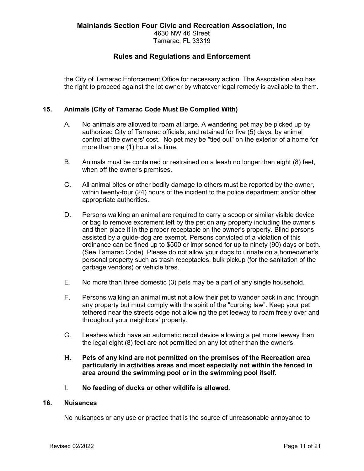Tamarac, FL 33319

# **Rules and Regulations and Enforcement**

the City of Tamarac Enforcement Office for necessary action. The Association also has the right to proceed against the lot owner by whatever legal remedy is available to them.

# **15. Animals (City of Tamarac Code Must Be Complied With)**

- A. No animals are allowed to roam at large. A wandering pet may be picked up by authorized City of Tamarac officials, and retained for five (5) days, by animal control at the owners' cost. No pet may be "tied out" on the exterior of a home for more than one (1) hour at a time.
- B. Animals must be contained or restrained on a leash no longer than eight (8) feet, when off the owner's premises.
- C. All animal bites or other bodily damage to others must be reported by the owner, within twenty-four (24) hours of the incident to the police department and/or other appropriate authorities.
- D. Persons walking an animal are required to carry a scoop or similar visible device or bag to remove excrement left by the pet on any property including the owner's and then place it in the proper receptacle on the owner's property. Blind persons assisted by a guide-dog are exempt. Persons convicted of a violation of this ordinance can be fined up to \$500 or imprisoned for up to ninety (90) days or both. (See Tamarac Code). Please do not allow your dogs to urinate on a homeowner's personal property such as trash receptacles, bulk pickup (for the sanitation of the garbage vendors) or vehicle tires.
- E. No more than three domestic (3) pets may be a part of any single household.
- F. Persons walking an animal must not allow their pet to wander back in and through any property but must comply with the spirit of the "curbing law". Keep your pet tethered near the streets edge not allowing the pet leeway to roam freely over and throughout your neighbors' property.
- G. Leashes which have an automatic recoil device allowing a pet more leeway than the legal eight (8) feet are not permitted on any lot other than the owner's.
- **H. Pets of any kind are not permitted on the premises of the Recreation area particularly in activities areas and most especially not within the fenced in area around the swimming pool or in the swimming pool itself.**
- I. **No feeding of ducks or other wildlife is allowed.**

# **16. Nuisances**

No nuisances or any use or practice that is the source of unreasonable annoyance to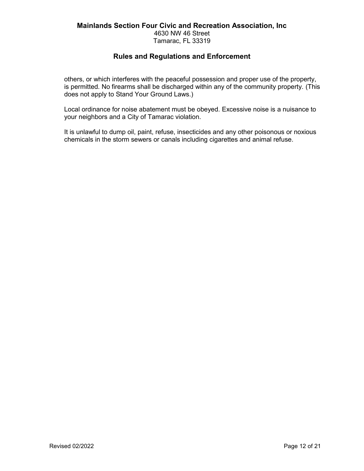Tamarac, FL 33319

# **Rules and Regulations and Enforcement**

others, or which interferes with the peaceful possession and proper use of the property, is permitted. No firearms shall be discharged within any of the community property. (This does not apply to Stand Your Ground Laws.)

Local ordinance for noise abatement must be obeyed. Excessive noise is a nuisance to your neighbors and a City of Tamarac violation.

It is unlawful to dump oil, paint, refuse, insecticides and any other poisonous or noxious chemicals in the storm sewers or canals including cigarettes and animal refuse.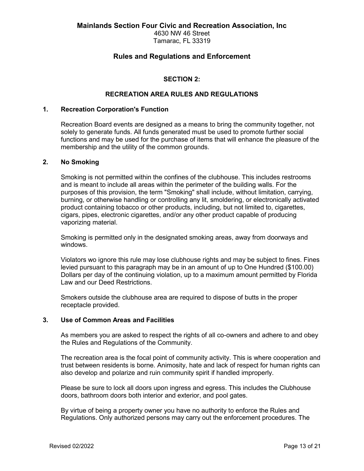4630 NW 46 Street Tamarac, FL 33319

# **Rules and Regulations and Enforcement**

# **SECTION 2:**

## **RECREATION AREA RULES AND REGULATIONS**

## **1. Recreation Corporation's Function**

Recreation Board events are designed as a means to bring the community together, not solely to generate funds. All funds generated must be used to promote further social functions and may be used for the purchase of items that will enhance the pleasure of the membership and the utility of the common grounds.

#### **2. No Smoking**

Smoking is not permitted within the confines of the clubhouse. This includes restrooms and is meant to include all areas within the perimeter of the building walls. For the purposes of this provision, the term "Smoking" shall include, without limitation, carrying, burning, or otherwise handling or controlling any lit, smoldering, or electronically activated product containing tobacco or other products, including, but not limited to, cigarettes, cigars, pipes, electronic cigarettes, and/or any other product capable of producing vaporizing material.

Smoking is permitted only in the designated smoking areas, away from doorways and windows.

Violators wo ignore this rule may lose clubhouse rights and may be subject to fines. Fines levied pursuant to this paragraph may be in an amount of up to One Hundred (\$100.00) Dollars per day of the continuing violation, up to a maximum amount permitted by Florida Law and our Deed Restrictions.

Smokers outside the clubhouse area are required to dispose of butts in the proper receptacle provided.

## **3. Use of Common Areas and Facilities**

As members you are asked to respect the rights of all co-owners and adhere to and obey the Rules and Regulations of the Community.

The recreation area is the focal point of community activity. This is where cooperation and trust between residents is borne. Animosity, hate and lack of respect for human rights can also develop and polarize and ruin community spirit if handled improperly.

Please be sure to lock all doors upon ingress and egress. This includes the Clubhouse doors, bathroom doors both interior and exterior, and pool gates.

By virtue of being a property owner you have no authority to enforce the Rules and Regulations. Only authorized persons may carry out the enforcement procedures. The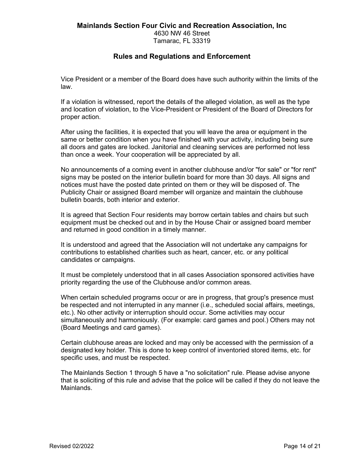Tamarac, FL 33319

# **Rules and Regulations and Enforcement**

Vice President or a member of the Board does have such authority within the limits of the law.

If a violation is witnessed, report the details of the alleged violation, as well as the type and location of violation, to the Vice-President or President of the Board of Directors for proper action.

After using the facilities, it is expected that you will leave the area or equipment in the same or better condition when you have finished with your activity, including being sure all doors and gates are locked. Janitorial and cleaning services are performed not less than once a week. Your cooperation will be appreciated by all.

No announcements of a coming event in another clubhouse and/or "for sale" or "for rent" signs may be posted on the interior bulletin board for more than 30 days. All signs and notices must have the posted date printed on them or they will be disposed of. The Publicity Chair or assigned Board member will organize and maintain the clubhouse bulletin boards, both interior and exterior.

It is agreed that Section Four residents may borrow certain tables and chairs but such equipment must be checked out and in by the House Chair or assigned board member and returned in good condition in a timely manner.

It is understood and agreed that the Association will not undertake any campaigns for contributions to established charities such as heart, cancer, etc. or any political candidates or campaigns.

It must be completely understood that in all cases Association sponsored activities have priority regarding the use of the Clubhouse and/or common areas.

When certain scheduled programs occur or are in progress, that group's presence must be respected and not interrupted in any manner (i.e., scheduled social affairs, meetings, etc.). No other activity or interruption should occur. Some activities may occur simultaneously and harmoniously. (For example: card games and pool.) Others may not (Board Meetings and card games).

Certain clubhouse areas are locked and may only be accessed with the permission of a designated key holder. This is done to keep control of inventoried stored items, etc. for specific uses, and must be respected.

The Mainlands Section 1 through 5 have a "no solicitation" rule. Please advise anyone that is soliciting of this rule and advise that the police will be called if they do not leave the Mainlands.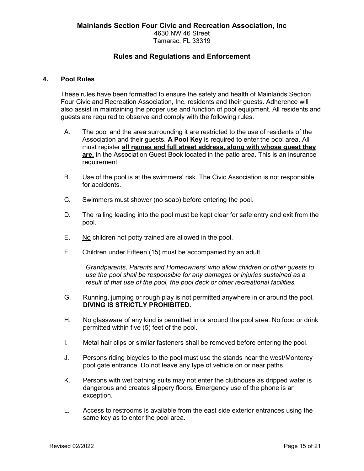## **4. Pool Rules**

These rules have been formatted to ensure the safety and health of Mainlands Section Four Civic and Recreation Association, Inc. residents and their guests. Adherence will also assist in maintaining the proper use and function of pool equipment. All residents and guests are required to observe and comply with the following rules.

- A. The pool and the area surrounding it are restricted to the use of residents of the Association and their guests. **A Pool Key** is required to enter the pool area. All must register **all names and full street address, along with whose guest they are,** in the Association Guest Book located in the patio area. This is an insurance requirement
- B. Use of the pool is at the swimmers' risk. The Civic Association is not responsible for accidents.
- C. Swimmers must shower (no soap) before entering the pool.
- D. The railing leading into the pool must be kept clear for safe entry and exit from the pool.
- E. No children not potty trained are allowed in the pool.
- F. Children under Fifteen (15) must be accompanied by an adult.

*Grandparents, Parents and Homeowners' who allow children or other guests to use the pool shall be responsible for any damages or injuries sustained as* a *result of that use of the pool, the pool deck or other recreational facilities.*

- G. Running, jumping or rough play is not permitted anywhere in or around the pool. **DIVING IS STRICTLY PROHIBITED.**
- H. No glassware of any kind is permitted in or around the pool area. No food or drink permitted within five (5) feet of the pool.
- I. Metal hair clips or similar fasteners shall be removed before entering the pool.
- J. Persons riding bicycles to the pool must use the stands near the west/Monterey pool gate entrance. Do not leave any type of vehicle on or near paths.
- K. Persons with wet bathing suits may not enter the clubhouse as dripped water is dangerous and creates slippery floors. Emergency use of the phone is an exception.
- L. Access to restrooms is available from the east side exterior entrances using the same key as to enter the pool area.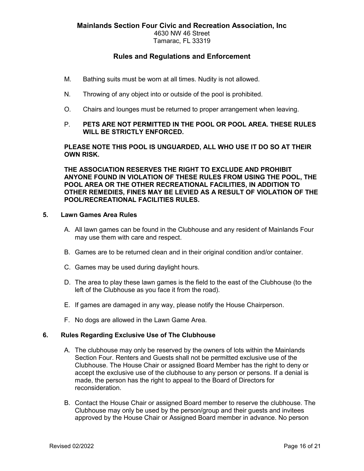# Tamarac, FL 33319

# **Rules and Regulations and Enforcement**

- M. Bathing suits must be worn at all times. Nudity is not allowed.
- N. Throwing of any object into or outside of the pool is prohibited.
- O. Chairs and lounges must be returned to proper arrangement when leaving.

# P. **PETS ARE NOT PERMITTED IN THE POOL OR POOL AREA. THESE RULES WILL BE STRICTLY ENFORCED.**

**PLEASE NOTE THIS POOL IS UNGUARDED, ALL WHO USE IT DO SO AT THEIR OWN RISK.**

**THE ASSOCIATION RESERVES THE RIGHT TO EXCLUDE AND PROHIBIT ANYONE FOUND IN VIOLATION OF THESE RULES FROM USING THE POOL, THE POOL AREA OR THE OTHER RECREATIONAL FACILITIES, IN ADDITION TO OTHER REMEDIES, FINES MAY BE LEVIED AS A RESULT OF VIOLATION OF THE POOL/RECREATIONAL FACILITIES RULES.**

## **5. Lawn Games Area Rules**

- A. All lawn games can be found in the Clubhouse and any resident of Mainlands Four may use them with care and respect.
- B. Games are to be returned clean and in their original condition and/or container.
- C. Games may be used during daylight hours.
- D. The area to play these lawn games is the field to the east of the Clubhouse (to the left of the Clubhouse as you face it from the road).
- E. If games are damaged in any way, please notify the House Chairperson.
- F. No dogs are allowed in the Lawn Game Area.

## **6. Rules Regarding Exclusive Use of The Clubhouse**

- A. The clubhouse may only be reserved by the owners of lots within the Mainlands Section Four. Renters and Guests shall not be permitted exclusive use of the Clubhouse. The House Chair or assigned Board Member has the right to deny or accept the exclusive use of the clubhouse to any person or persons. If a denial is made, the person has the right to appeal to the Board of Directors for reconsideration.
- B. Contact the House Chair or assigned Board member to reserve the clubhouse. The Clubhouse may only be used by the person/group and their guests and invitees approved by the House Chair or Assigned Board member in advance. No person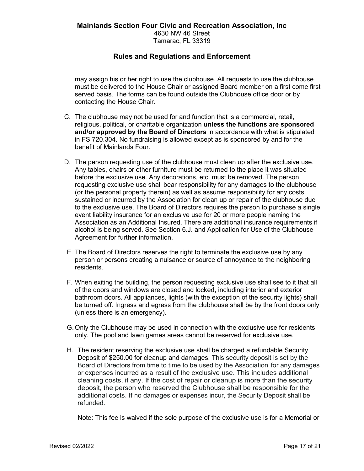may assign his or her right to use the clubhouse. All requests to use the clubhouse must be delivered to the House Chair or assigned Board member on a first come first served basis. The forms can be found outside the Clubhouse office door or by contacting the House Chair.

- C. The clubhouse may not be used for and function that is a commercial, retail, religious, political, or charitable organization **unless the functions are sponsored and/or approved by the Board of Directors** in accordance with what is stipulated in FS 720.304. No fundraising is allowed except as is sponsored by and for the benefit of Mainlands Four.
- D. The person requesting use of the clubhouse must clean up after the exclusive use. Any tables, chairs or other furniture must be returned to the place it was situated before the exclusive use. Any decorations, etc. must be removed. The person requesting exclusive use shall bear responsibility for any damages to the clubhouse (or the personal property therein) as well as assume responsibility for any costs sustained or incurred by the Association for clean up or repair of the clubhouse due to the exclusive use. The Board of Directors requires the person to purchase a single event liability insurance for an exclusive use for 20 or more people naming the Association as an Additional Insured. There are additional insurance requirements if alcohol is being served. See Section 6.J. and Application for Use of the Clubhouse Agreement for further information.
- E. The Board of Directors reserves the right to terminate the exclusive use by any person or persons creating a nuisance or source of annoyance to the neighboring residents.
- F. When exiting the building, the person requesting exclusive use shall see to it that all of the doors and windows are closed and locked, including interior and exterior bathroom doors. All appliances, lights (with the exception of the security lights) shall be turned off. Ingress and egress from the clubhouse shall be by the front doors only (unless there is an emergency).
- G. Only the Clubhouse may be used in connection with the exclusive use for residents only. The pool and lawn games areas cannot be reserved for exclusive use.
- H. The resident reserving the exclusive use shall be charged a refundable Security Deposit of \$250.00 for cleanup and damages. This security deposit is set by the Board of Directors from time to time to be used by the Association for any damages or expenses incurred as a result of the exclusive use. This includes additional cleaning costs, if any. If the cost of repair or cleanup is more than the security deposit, the person who reserved the Clubhouse shall be responsible for the additional costs. If no damages or expenses incur, the Security Deposit shall be refunded.

Note: This fee is waived if the sole purpose of the exclusive use is for a Memorial or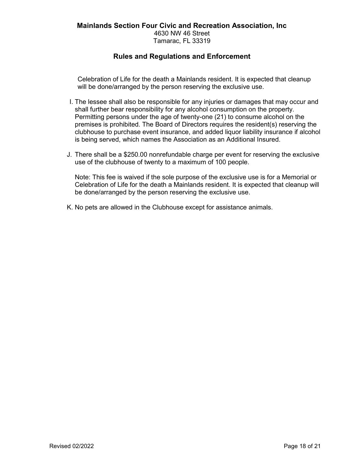Celebration of Life for the death a Mainlands resident. It is expected that cleanup will be done/arranged by the person reserving the exclusive use.

- I. The lessee shall also be responsible for any injuries or damages that may occur and shall further bear responsibility for any alcohol consumption on the property. Permitting persons under the age of twenty-one (21) to consume alcohol on the premises is prohibited. The Board of Directors requires the resident(s) reserving the clubhouse to purchase event insurance, and added liquor liability insurance if alcohol is being served, which names the Association as an Additional Insured.
- J. There shall be a \$250.00 nonrefundable charge per event for reserving the exclusive use of the clubhouse of twenty to a maximum of 100 people.

Note: This fee is waived if the sole purpose of the exclusive use is for a Memorial or Celebration of Life for the death a Mainlands resident. It is expected that cleanup will be done/arranged by the person reserving the exclusive use.

K. No pets are allowed in the Clubhouse except for assistance animals.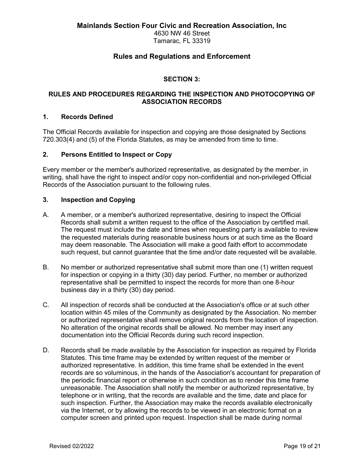4630 NW 46 Street Tamarac, FL 33319

# **Rules and Regulations and Enforcement**

## **SECTION 3:**

## **RULES AND PROCEDURES REGARDING THE INSPECTION AND PHOTOCOPYING OF ASSOCIATION RECORDS**

## **1. Records Defined**

The Official Records available for inspection and copying are those designated by Sections 720.303(4) and (5) of the Florida Statutes, as may be amended from time to time.

## **2. Persons Entitled to Inspect or Copy**

Every member or the member's authorized representative, as designated by the member, in writing, shall have the right to inspect and/or copy non-confidential and non-privileged Official Records of the Association pursuant to the following rules.

## **3. Inspection and Copying**

- A. A member, or a member's authorized representative, desiring to inspect the Official Records shall submit a written request to the office of the Association by certified mail. The request must include the date and times when requesting party is available to review the requested materials during reasonable business hours or at such time as the Board may deem reasonable. The Association will make a good faith effort to accommodate such request, but cannot guarantee that the time and/or date requested will be available.
- B. No member or authorized representative shall submit more than one (1) written request for inspection or copying in a thirty (30) day period. Further, no member or authorized representative shall be permitted to inspect the records for more than one 8-hour business day in a thirty (30) day period.
- C. All inspection of records shall be conducted at the Association's office or at such other location within 45 miles of the Community as designated by the Association. No member or authorized representative shall remove original records from the location of inspection. No alteration of the original records shall be allowed. No member may insert any documentation into the Official Records during such record inspection.
- D. Records shall be made available by the Association for inspection as required by Florida Statutes. This time frame may be extended by written request of the member or authorized representative. In addition, this time frame shall be extended in the event records are so voluminous, in the hands of the Association's accountant for preparation of the periodic financial report or otherwise in such condition as to render this time frame unreasonable. The Association shall notify the member or authorized representative, by telephone or in writing, that the records are available and the time, date and place for such inspection. Further, the Association may make the records available electronically via the Internet, or by allowing the records to be viewed in an electronic format on a computer screen and printed upon request. Inspection shall be made during normal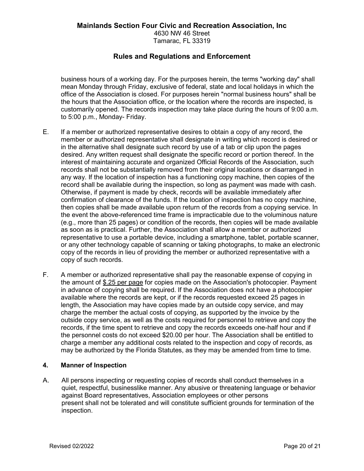4630 NW 46 Street Tamarac, FL 33319

# **Rules and Regulations and Enforcement**

business hours of a working day. For the purposes herein, the terms "working day" shall mean Monday through Friday, exclusive of federal, state and local holidays in which the office of the Association is closed. For purposes herein "normal business hours" shall be the hours that the Association office, or the location where the records are inspected, is customarily opened. The records inspection may take place during the hours of 9:00 a.m. to 5:00 p.m., Monday- Friday.

- E. If a member or authorized representative desires to obtain a copy of any record, the member or authorized representative shall designate in writing which record is desired or in the alternative shall designate such record by use of a tab or clip upon the pages desired. Any written request shall designate the specific record or portion thereof. In the interest of maintaining accurate and organized Official Records of the Association, such records shall not be substantially removed from their original locations or disarranged in any way. If the location of inspection has a functioning copy machine, then copies of the record shall be available during the inspection, so long as payment was made with cash. Otherwise, if payment is made by check, records will be available immediately after confirmation of clearance of the funds. If the location of inspection has no copy machine, then copies shall be made available upon return of the records from a copying service. In the event the above-referenced time frame is impracticable due to the voluminous nature (e.g., more than 25 pages) or condition of the records, then copies will be made available as soon as is practical. Further, the Association shall allow a member or authorized representative to use a portable device, including a smartphone, tablet, portable scanner, or any other technology capable of scanning or taking photographs, to make an electronic copy of the records in lieu of providing the member or authorized representative with a copy of such records.
- F. A member or authorized representative shall pay the reasonable expense of copying in the amount of \$.25 per page for copies made on the Association's photocopier. Payment in advance of copying shall be required. If the Association does not have a photocopier available where the records are kept, or if the records requested exceed 25 pages in length, the Association may have copies made by an outside copy service, and may charge the member the actual costs of copying, as supported by the invoice by the outside copy service, as well as the costs required for personnel to retrieve and copy the records, if the time spent to retrieve and copy the records exceeds one-half hour and if the personnel costs do not exceed \$20.00 per hour. The Association shall be entitled to charge a member any additional costs related to the inspection and copy of records, as may be authorized by the Florida Statutes, as they may be amended from time to time.

## **4. Manner of Inspection**

A. All persons inspecting or requesting copies of records shall conduct themselves in a quiet, respectful, businesslike manner. Any abusive or threatening language or behavior against Board representatives, Association employees or other persons present shall not be tolerated and will constitute sufficient grounds for termination of the inspection.